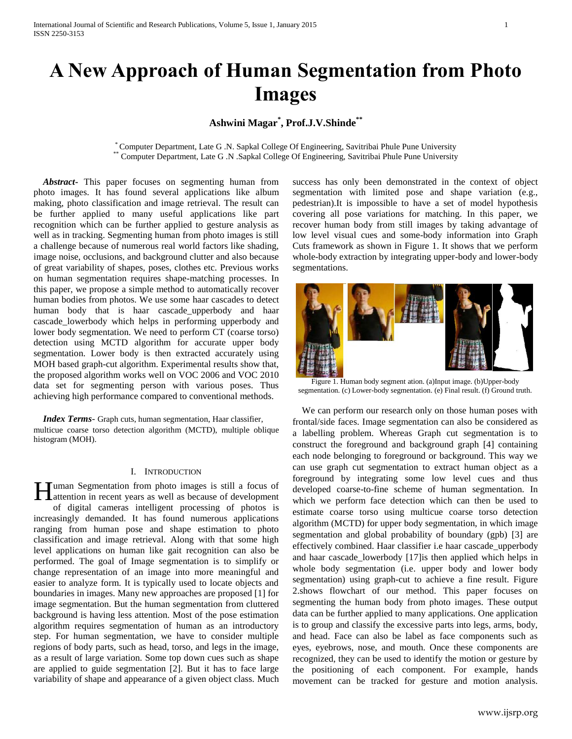# **A New Approach of Human Segmentation from Photo Images**

# **Ashwini Magar\* , Prof.J.V.Shinde\*\***

\* Computer Department, Late G .N. Sapkal College Of Engineering, Savitribai Phule Pune University \*\* Computer Department, Late G .N .Sapkal College Of Engineering, Savitribai Phule Pune University

 *Abstract***-** This paper focuses on segmenting human from photo images. It has found several applications like album making, photo classification and image retrieval. The result can be further applied to many useful applications like part recognition which can be further applied to gesture analysis as well as in tracking. Segmenting human from photo images is still a challenge because of numerous real world factors like shading, image noise, occlusions, and background clutter and also because of great variability of shapes, poses, clothes etc. Previous works on human segmentation requires shape-matching processes. In this paper, we propose a simple method to automatically recover human bodies from photos. We use some haar cascades to detect human body that is haar cascade\_upperbody and haar cascade\_lowerbody which helps in performing upperbody and lower body segmentation. We need to perform CT (coarse torso) detection using MCTD algorithm for accurate upper body segmentation. Lower body is then extracted accurately using MOH based graph-cut algorithm. Experimental results show that, the proposed algorithm works well on VOC 2006 and VOC 2010 data set for segmenting person with various poses. Thus achieving high performance compared to conventional methods.

 *Index Terms*- Graph cuts, human segmentation, Haar classifier, multicue coarse torso detection algorithm (MCTD), multiple oblique histogram (MOH).

#### I. INTRODUCTION

uman Segmentation from photo images is still a focus of Human Segmentation from photo images is still a focus of development attention in recent years as well as because of development of digital cameras intelligent processing of photos is increasingly demanded. It has found numerous applications ranging from human pose and shape estimation to photo classification and image retrieval. Along with that some high level applications on human like gait recognition can also be performed. The goal of Image segmentation is to simplify or change representation of an image into more meaningful and easier to analyze form. It is typically used to locate objects and boundaries in images. Many new approaches are proposed [1] for image segmentation. But the human segmentation from cluttered background is having less attention. Most of the pose estimation algorithm requires segmentation of human as an introductory step. For human segmentation, we have to consider multiple regions of body parts, such as head, torso, and legs in the image, as a result of large variation. Some top down cues such as shape are applied to guide segmentation [2]. But it has to face large variability of shape and appearance of a given object class. Much

success has only been demonstrated in the context of object segmentation with limited pose and shape variation (e.g., pedestrian).It is impossible to have a set of model hypothesis covering all pose variations for matching. In this paper, we recover human body from still images by taking advantage of low level visual cues and some-body information into Graph Cuts framework as shown in Figure 1. It shows that we perform whole-body extraction by integrating upper-body and lower-body segmentations.



Figure 1. Human body segment ation. (a)Input image. (b)Upper-body segmentation. (c) Lower-body segmentation. (e) Final result. (f) Ground truth.

We can perform our research only on those human poses with frontal/side faces. Image segmentation can also be considered as a labelling problem. Whereas Graph cut segmentation is to construct the foreground and background graph [4] containing each node belonging to foreground or background. This way we can use graph cut segmentation to extract human object as a foreground by integrating some low level cues and thus developed coarse-to-fine scheme of human segmentation. In which we perform face detection which can then be used to estimate coarse torso using multicue coarse torso detection algorithm (MCTD) for upper body segmentation, in which image segmentation and global probability of boundary (gpb) [3] are effectively combined. Haar classifier i.e haar cascade\_upperbody and haar cascade\_lowerbody [17]is then applied which helps in whole body segmentation (i.e. upper body and lower body segmentation) using graph-cut to achieve a fine result. Figure 2.shows flowchart of our method. This paper focuses on segmenting the human body from photo images. These output data can be further applied to many applications. One application is to group and classify the excessive parts into legs, arms, body, and head. Face can also be label as face components such as eyes, eyebrows, nose, and mouth. Once these components are recognized, they can be used to identify the motion or gesture by the positioning of each component. For example, hands movement can be tracked for gesture and motion analysis.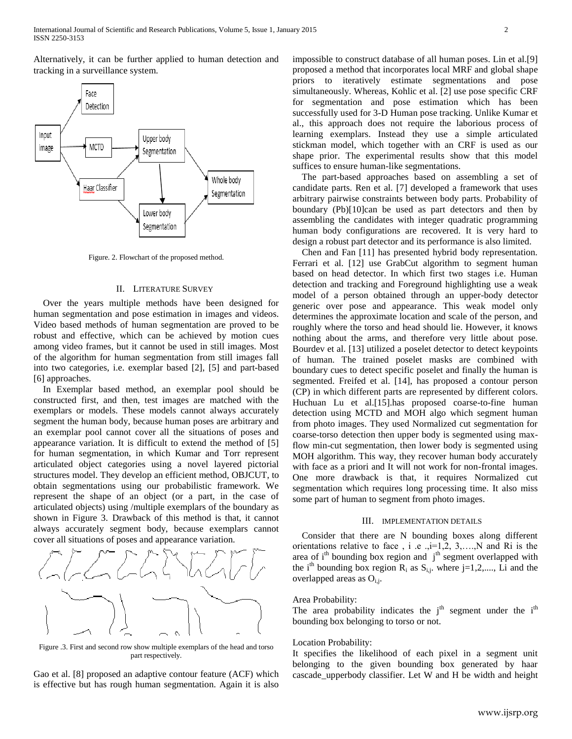Alternatively, it can be further applied to human detection and tracking in a surveillance system.



Figure. 2. Flowchart of the proposed method.

#### II. LITERATURE SURVEY

 Over the years multiple methods have been designed for human segmentation and pose estimation in images and videos. Video based methods of human segmentation are proved to be robust and effective, which can be achieved by motion cues among video frames, but it cannot be used in still images. Most of the algorithm for human segmentation from still images fall into two categories, i.e. exemplar based [2], [5] and part-based [6] approaches.

 In Exemplar based method, an exemplar pool should be constructed first, and then, test images are matched with the exemplars or models. These models cannot always accurately segment the human body, because human poses are arbitrary and an exemplar pool cannot cover all the situations of poses and appearance variation. It is difficult to extend the method of [5] for human segmentation, in which Kumar and Torr represent articulated object categories using a novel layered pictorial structures model. They develop an efficient method, OBJCUT, to obtain segmentations using our probabilistic framework. We represent the shape of an object (or a part, in the case of articulated objects) using /multiple exemplars of the boundary as shown in Figure 3. Drawback of this method is that, it cannot always accurately segment body, because exemplars cannot cover all situations of poses and appearance variation.



Figure .3. First and second row show multiple exemplars of the head and torso part respectively.

Gao et al. [8] proposed an adaptive contour feature (ACF) which is effective but has rough human segmentation. Again it is also impossible to construct database of all human poses. Lin et al.[9] proposed a method that incorporates local MRF and global shape priors to iteratively estimate segmentations and pose simultaneously. Whereas, Kohlic et al. [2] use pose specific CRF for segmentation and pose estimation which has been successfully used for 3-D Human pose tracking. Unlike Kumar et al., this approach does not require the laborious process of learning exemplars. Instead they use a simple articulated stickman model, which together with an CRF is used as our shape prior. The experimental results show that this model suffices to ensure human-like segmentations.

 The part-based approaches based on assembling a set of candidate parts. Ren et al. [7] developed a framework that uses arbitrary pairwise constraints between body parts. Probability of boundary (Pb)[10]can be used as part detectors and then by assembling the candidates with integer quadratic programming human body configurations are recovered. It is very hard to design a robust part detector and its performance is also limited.

 Chen and Fan [11] has presented hybrid body representation. Ferrari et al. [12] use GrabCut algorithm to segment human based on head detector. In which first two stages i.e. Human detection and tracking and Foreground highlighting use a weak model of a person obtained through an upper-body detector generic over pose and appearance. This weak model only determines the approximate location and scale of the person, and roughly where the torso and head should lie. However, it knows nothing about the arms, and therefore very little about pose. Bourdev et al. [13] utilized a poselet detector to detect keypoints of human. The trained poselet masks are combined with boundary cues to detect specific poselet and finally the human is segmented. Freifed et al. [14], has proposed a contour person (CP) in which different parts are represented by different colors. Huchuan Lu et al.[15].has proposed coarse-to-fine human detection using MCTD and MOH algo which segment human from photo images. They used Normalized cut segmentation for coarse-torso detection then upper body is segmented using maxflow min-cut segmentation, then lower body is segmented using MOH algorithm. This way, they recover human body accurately with face as a priori and It will not work for non-frontal images. One more drawback is that, it requires Normalized cut segmentation which requires long processing time. It also miss some part of human to segment from photo images.

#### III. IMPLEMENTATION DETAILS

 Consider that there are N bounding boxes along different orientations relative to face, i.e., $i=1,2, 3,...,N$  and Ri is the area of  $i<sup>th</sup>$  bounding box region and  $j<sup>th</sup>$  segment overlapped with the i<sup>th</sup> bounding box region  $R_i$  as  $S_{i,j}$ , where j=1,2,..., Li and the overlapped areas as  $O_{i,j}$ .

#### Area Probability:

The area probability indicates the  $j<sup>th</sup>$  segment under the  $i<sup>th</sup>$ bounding box belonging to torso or not.

#### Location Probability:

It specifies the likelihood of each pixel in a segment unit belonging to the given bounding box generated by haar cascade\_upperbody classifier. Let W and H be width and height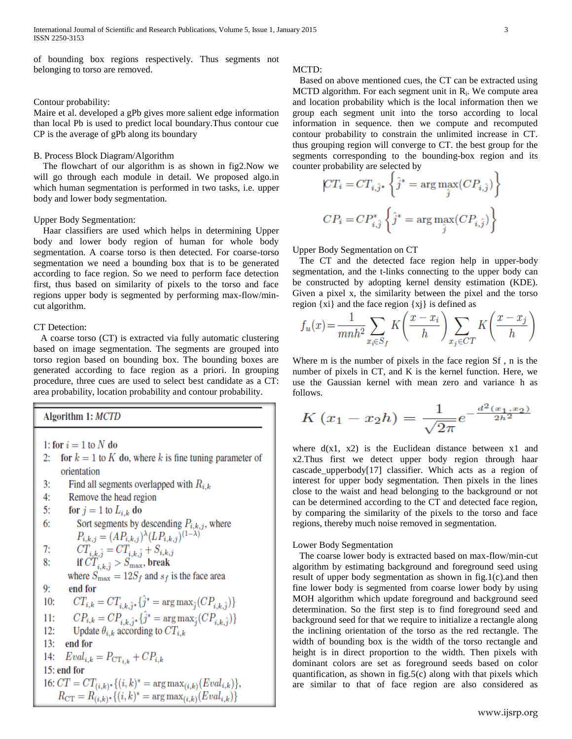of bounding box regions respectively. Thus segments not belonging to torso are removed.

#### Contour probability:

Maire et al. developed a gPb gives more salient edge information than local Pb is used to predict local boundary.Thus contour cue CP is the average of gPb along its boundary

#### B. Process Block Diagram/Algorithm

 The flowchart of our algorithm is as shown in fig2.Now we will go through each module in detail. We proposed algo.in which human segmentation is performed in two tasks, i.e. upper body and lower body segmentation.

#### Upper Body Segmentation:

 Haar classifiers are used which helps in determining Upper body and lower body region of human for whole body segmentation. A coarse torso is then detected. For coarse-torso segmentation we need a bounding box that is to be generated according to face region. So we need to perform face detection first, thus based on similarity of pixels to the torso and face regions upper body is segmented by performing max-flow/mincut algorithm.

#### CT Detection:

 A coarse torso (CT) is extracted via fully automatic clustering based on image segmentation. The segments are grouped into torso region based on bounding box. The bounding boxes are generated according to face region as a priori. In grouping procedure, three cues are used to select best candidate as a CT: area probability, location probability and contour probability.

Algorithm 1: MCTD

- 1: for  $i = 1$  to N do
- 2: for  $k = 1$  to K do, where k is fine tuning parameter of orientation
- $3:$ Find all segments overlapped with  $R_{i,k}$
- $4:$ Remove the head region
- $5:$ for  $j = 1$  to  $L_{i,k}$  do

6: Sort segments by descending 
$$
P_{i,k,j}
$$
, where  
\n
$$
P_{i,k,j} = (AP_{i,k,j})^{\lambda} (LP_{i,k,j})^{(1-\lambda)}
$$
\n7: 
$$
CT_{i,k,j} = CT_{i,k,j} + S_{i,k,j}
$$
\n8: if  $CT_{i,k,j} > S_{\text{max}}$ , break

where  $S_{\text{max}} = 12S_f$  and  $s_f$  is the face area  $9:$ end for

10: 
$$
CT_{i,k} = CT_{i,k,\hat{j}^*} \{\hat{j}^* = \arg \max_{\hat{j}} (CP_{i,k,\hat{j}})\}
$$

11: 
$$
CP_{i,k} = CP_{i,k} \hat{j}^* = \arg \max_{\hat{i}} (CP_{i,k} \hat{i})
$$

12: Update 
$$
\theta_{i,k}
$$
 according to  $CT_{i,k}$ 

$$
13: \quad end for
$$

14: 
$$
Eval_{ik} = P_{\text{CT}_{ik}} + CP_{ik}
$$

 $15:$  end for

16: 
$$
CT = CT_{(i,k)*}\{(i,k)^* = \arg \max_{(i,k)}(Eval_{i,k})\},
$$

$$
R_{\text{CT}} = R_{(i,k)*}\{(i,k)^* = \arg \max_{(i,k)}(Eval_{i,k})\}
$$

#### MCTD:

 Based on above mentioned cues, the CT can be extracted using MCTD algorithm. For each segment unit in  $R_i$ . We compute area and location probability which is the local information then we group each segment unit into the torso according to local information in sequence. then we compute and recomputed contour probability to constrain the unlimited increase in CT. thus grouping region will converge to CT. the best group for the segments corresponding to the bounding-box region and its counter probability are selected by

$$
\begin{aligned} CT_i &= CT_{i,\hat{j}^*} \left\{ \hat{j}^* = \arg \max_{\hat{j}} (CP_{i,\hat{j}}) \right\} \\ CP_i &= CP_{i,\hat{j}}^* \left\{ \hat{j}^* = \arg \max_{\hat{j}} (CP_{i,\hat{j}}) \right\} \end{aligned}
$$

Upper Body Segmentation on CT

 The CT and the detected face region help in upper-body segmentation, and the t-links connecting to the upper body can be constructed by adopting kernel density estimation (KDE). Given a pixel x, the similarity between the pixel and the torso region  $\{xi\}$  and the face region  $\{xi\}$  is defined as

$$
f_u(x) = \frac{1}{mnh^2} \sum_{x_i \in S_f} K\left(\frac{x - x_i}{h}\right) \sum_{x_j \in CT} K\left(\frac{x - x_j}{h}\right)
$$

Where m is the number of pixels in the face region Sf , n is the number of pixels in CT, and K is the kernel function. Here, we use the Gaussian kernel with mean zero and variance h as follows.

$$
K(x_1 - x_2h) = \frac{1}{\sqrt{2\pi}}e^{-\frac{d^2(x_1, x_2)}{2h^2}}
$$

where  $d(x1, x2)$  is the Euclidean distance between x1 and x2.Thus first we detect upper body region through haar cascade upperbody $[17]$  classifier. Which acts as a region of interest for upper body segmentation. Then pixels in the lines close to the waist and head belonging to the background or not can be determined according to the CT and detected face region, by comparing the similarity of the pixels to the torso and face regions, thereby much noise removed in segmentation.

#### Lower Body Segmentation

 The coarse lower body is extracted based on max-flow/min-cut algorithm by estimating background and foreground seed using result of upper body segmentation as shown in fig.1(c).and then fine lower body is segmented from coarse lower body by using MOH algorithm which update foreground and background seed determination. So the first step is to find foreground seed and background seed for that we require to initialize a rectangle along the inclining orientation of the torso as the red rectangle. The width of bounding box is the width of the torso rectangle and height is in direct proportion to the width. Then pixels with dominant colors are set as foreground seeds based on color quantification, as shown in fig.5(c) along with that pixels which are similar to that of face region are also considered as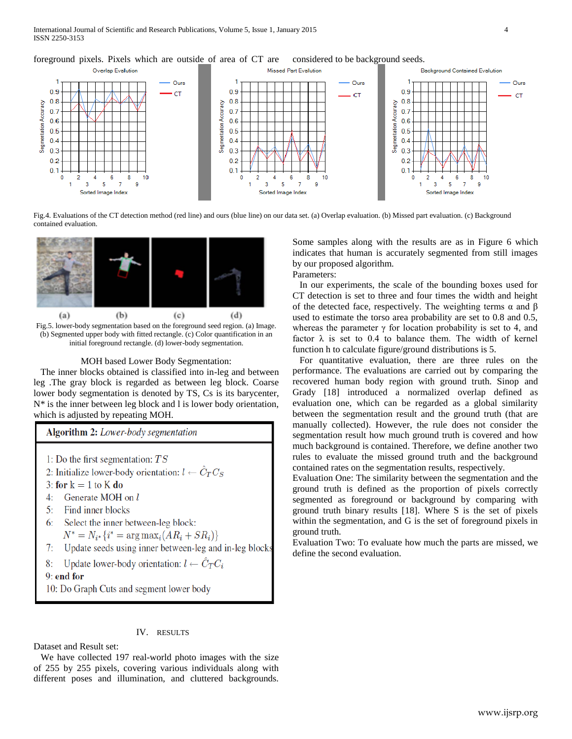foreground pixels. Pixels which are outside of area of CT are considered to be background seeds.



Fig.4. Evaluations of the CT detection method (red line) and ours (blue line) on our data set. (a) Overlap evaluation. (b) Missed part evaluation. (c) Background contained evaluation.



Fig.5. lower-body segmentation based on the foreground seed region. (a) Image. (b) Segmented upper body with fitted rectangle. (c) Color quantification in an initial foreground rectangle. (d) lower-body segmentation.

#### MOH based Lower Body Segmentation:

 The inner blocks obtained is classified into in-leg and between leg .The gray block is regarded as between leg block. Coarse lower body segmentation is denoted by TS, Cs is its barycenter, N\* is the inner between leg block and l is lower body orientation, which is adjusted by repeating MOH.

### Algorithm 2: Lower-body segmentation

- 1: Do the first segmentation:  $TS$
- 2: Initialize lower-body orientation:  $l \leftarrow \hat{C}_T C_S$
- 3: for  $k = 1$  to K do
- 4: Generate MOH on l
- 5: Find inner blocks
- 6: Select the inner between-leg block:
- $N^* = N_{i^*} \{ i^* = \arg \max_i (AR_i + SR_i) \}$
- Update seeds using inner between-leg and in-leg blocks 7:
- Update lower-body orientation:  $l \leftarrow C_T C_i$ 8:

9: end for

10: Do Graph Cuts and segment lower body

#### IV. RESULTS

Dataset and Result set:

 We have collected 197 real-world photo images with the size of 255 by 255 pixels, covering various individuals along with different poses and illumination, and cluttered backgrounds.

Some samples along with the results are as in Figure 6 which indicates that human is accurately segmented from still images by our proposed algorithm.

Parameters:

 In our experiments, the scale of the bounding boxes used for CT detection is set to three and four times the width and height of the detected face, respectively. The weighting terms  $\alpha$  and  $\beta$ used to estimate the torso area probability are set to 0.8 and 0.5, whereas the parameter  $\gamma$  for location probability is set to 4, and factor  $\lambda$  is set to 0.4 to balance them. The width of kernel function h to calculate figure/ground distributions is 5.

 For quantitative evaluation, there are three rules on the performance. The evaluations are carried out by comparing the recovered human body region with ground truth. Sinop and Grady [18] introduced a normalized overlap defined as evaluation one, which can be regarded as a global similarity between the segmentation result and the ground truth (that are manually collected). However, the rule does not consider the segmentation result how much ground truth is covered and how much background is contained. Therefore, we define another two rules to evaluate the missed ground truth and the background contained rates on the segmentation results, respectively.

Evaluation One: The similarity between the segmentation and the ground truth is defined as the proportion of pixels correctly segmented as foreground or background by comparing with ground truth binary results [18]. Where S is the set of pixels within the segmentation, and G is the set of foreground pixels in ground truth.

Evaluation Two: To evaluate how much the parts are missed, we define the second evaluation.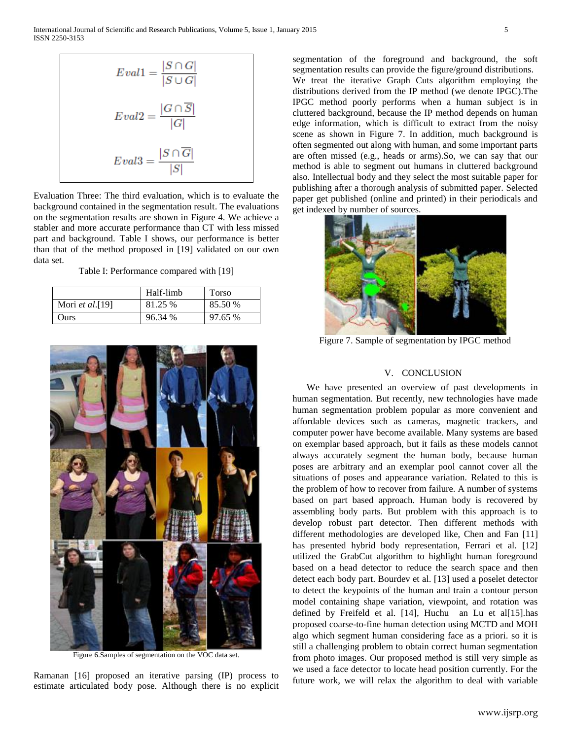$$
Eval1 = \frac{|S \cap G|}{|S \cup G|}
$$

$$
Eval2 = \frac{|G \cap \overline{S}|}{|G|}
$$

$$
Eval3 = \frac{|S \cap \overline{G}|}{|S|}
$$

Evaluation Three: The third evaluation, which is to evaluate the background contained in the segmentation result. The evaluations on the segmentation results are shown in Figure 4. We achieve a stabler and more accurate performance than CT with less missed part and background. Table I shows, our performance is better than that of the method proposed in [19] validated on our own data set.

Table I: Performance compared with [19]

|                  | Half-limb | Torso   |
|------------------|-----------|---------|
| Mori et al. [19] | 81.25 %   | 85.50 % |
| Ours             | 96.34 %   | 97.65 % |



Figure 6.Samples of segmentation on the VOC data set.

Ramanan [16] proposed an iterative parsing (IP) process to estimate articulated body pose. Although there is no explicit segmentation of the foreground and background, the soft segmentation results can provide the figure/ground distributions. We treat the iterative Graph Cuts algorithm employing the distributions derived from the IP method (we denote IPGC).The IPGC method poorly performs when a human subject is in cluttered background, because the IP method depends on human edge information, which is difficult to extract from the noisy scene as shown in Figure 7. In addition, much background is often segmented out along with human, and some important parts are often missed (e.g., heads or arms).So, we can say that our method is able to segment out humans in cluttered background also. Intellectual body and they select the most suitable paper for publishing after a thorough analysis of submitted paper. Selected paper get published (online and printed) in their periodicals and get indexed by number of sources.



Figure 7. Sample of segmentation by IPGC method

## V. CONCLUSION

 We have presented an overview of past developments in human segmentation. But recently, new technologies have made human segmentation problem popular as more convenient and affordable devices such as cameras, magnetic trackers, and computer power have become available. Many systems are based on exemplar based approach, but it fails as these models cannot always accurately segment the human body, because human poses are arbitrary and an exemplar pool cannot cover all the situations of poses and appearance variation. Related to this is the problem of how to recover from failure. A number of systems based on part based approach. Human body is recovered by assembling body parts. But problem with this approach is to develop robust part detector. Then different methods with different methodologies are developed like, Chen and Fan [11] has presented hybrid body representation, Ferrari et al. [12] utilized the GrabCut algorithm to highlight human foreground based on a head detector to reduce the search space and then detect each body part. Bourdev et al. [13] used a poselet detector to detect the keypoints of the human and train a contour person model containing shape variation, viewpoint, and rotation was defined by Freifeld et al. [14], Huchu an Lu et al[15].has proposed coarse-to-fine human detection using MCTD and MOH algo which segment human considering face as a priori. so it is still a challenging problem to obtain correct human segmentation from photo images. Our proposed method is still very simple as we used a face detector to locate head position currently. For the future work, we will relax the algorithm to deal with variable